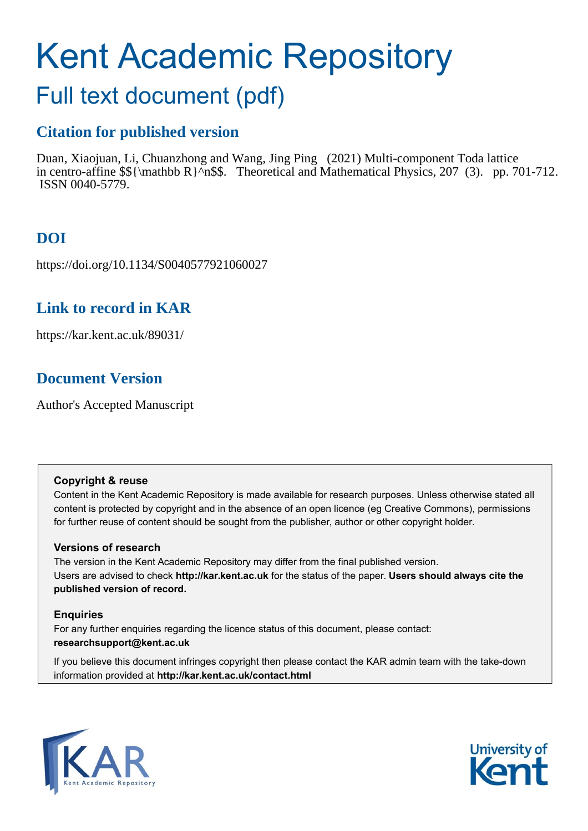# Kent Academic Repository

# Full text document (pdf)

## **Citation for published version**

Duan, Xiaojuan, Li, Chuanzhong and Wang, Jing Ping (2021) Multi-component Toda lattice in centro-affine  $\{\mathfrak{F}\}_{n\$ . Theoretical and Mathematical Physics, 207 (3). pp. 701-712. ISSN 0040-5779.

# **DOI**

https://doi.org/10.1134/S0040577921060027

### **Link to record in KAR**

https://kar.kent.ac.uk/89031/

# **Document Version**

Author's Accepted Manuscript

#### **Copyright & reuse**

Content in the Kent Academic Repository is made available for research purposes. Unless otherwise stated all content is protected by copyright and in the absence of an open licence (eg Creative Commons), permissions for further reuse of content should be sought from the publisher, author or other copyright holder.

#### **Versions of research**

The version in the Kent Academic Repository may differ from the final published version. Users are advised to check **http://kar.kent.ac.uk** for the status of the paper. **Users should always cite the published version of record.**

#### **Enquiries**

For any further enquiries regarding the licence status of this document, please contact: **researchsupport@kent.ac.uk**

If you believe this document infringes copyright then please contact the KAR admin team with the take-down information provided at **http://kar.kent.ac.uk/contact.html**



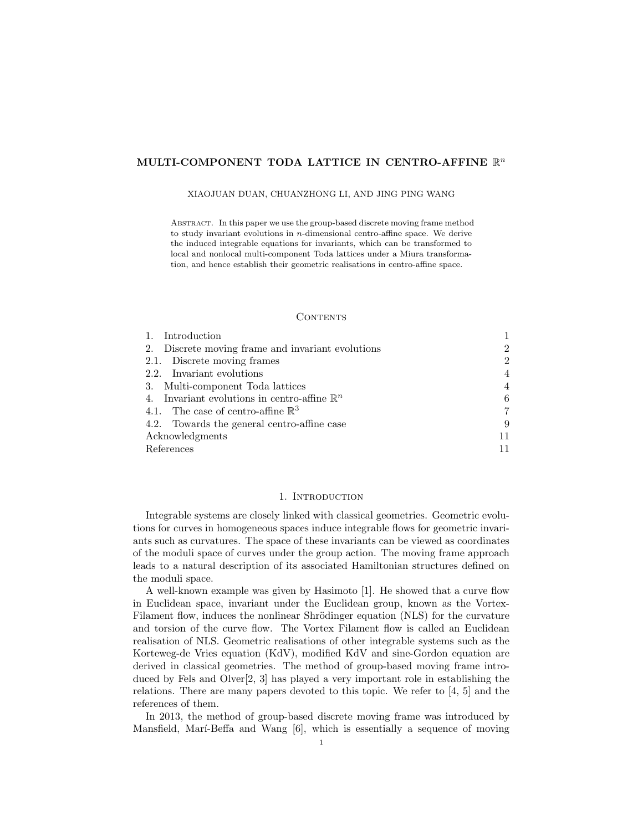#### MULTI-COMPONENT TODA LATTICE IN CENTRO-AFFINE  $\mathbb{R}^n$

#### XIAOJUAN DUAN, CHUANZHONG LI, AND JING PING WANG

Abstract. In this paper we use the group-based discrete moving frame method to study invariant evolutions in n-dimensional centro-affine space. We derive the induced integrable equations for invariants, which can be transformed to local and nonlocal multi-component Toda lattices under a Miura transformation, and hence establish their geometric realisations in centro-affine space.

#### **CONTENTS**

| Introduction                                            |                |
|---------------------------------------------------------|----------------|
| 2. Discrete moving frame and invariant evolutions       | $\overline{2}$ |
| 2.1. Discrete moving frames                             | $\mathcal{D}$  |
| 2.2. Invariant evolutions                               | $\overline{4}$ |
| 3. Multi-component Toda lattices                        | $\overline{4}$ |
| 4. Invariant evolutions in centro-affine $\mathbb{R}^n$ | 6              |
| 4.1. The case of centro-affine $\mathbb{R}^3$           | 7              |
| 4.2. Towards the general centro-affine case             | 9              |
| Acknowledgments                                         | 11             |
| References                                              |                |

#### 1. Introduction

Integrable systems are closely linked with classical geometries. Geometric evolutions for curves in homogeneous spaces induce integrable flows for geometric invariants such as curvatures. The space of these invariants can be viewed as coordinates of the moduli space of curves under the group action. The moving frame approach leads to a natural description of its associated Hamiltonian structures defined on the moduli space.

A well-known example was given by Hasimoto [1]. He showed that a curve flow in Euclidean space, invariant under the Euclidean group, known as the Vortex-Filament flow, induces the nonlinear Shrödinger equation (NLS) for the curvature and torsion of the curve flow. The Vortex Filament flow is called an Euclidean realisation of NLS. Geometric realisations of other integrable systems such as the Korteweg-de Vries equation (KdV), modified KdV and sine-Gordon equation are derived in classical geometries. The method of group-based moving frame introduced by Fels and Olver[2, 3] has played a very important role in establishing the relations. There are many papers devoted to this topic. We refer to [4, 5] and the references of them.

In 2013, the method of group-based discrete moving frame was introduced by Mansfield, Marí-Beffa and Wang  $[6]$ , which is essentially a sequence of moving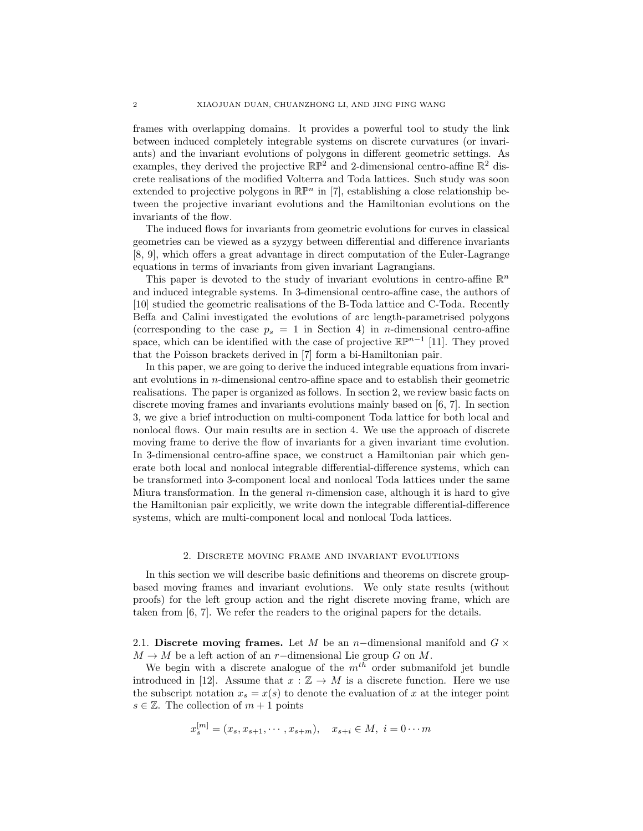frames with overlapping domains. It provides a powerful tool to study the link between induced completely integrable systems on discrete curvatures (or invariants) and the invariant evolutions of polygons in different geometric settings. As examples, they derived the projective  $\mathbb{RP}^2$  and 2-dimensional centro-affine  $\mathbb{R}^2$  discrete realisations of the modified Volterra and Toda lattices. Such study was soon extended to projective polygons in  $\mathbb{R}\mathbb{P}^n$  in [7], establishing a close relationship between the projective invariant evolutions and the Hamiltonian evolutions on the invariants of the flow.

The induced flows for invariants from geometric evolutions for curves in classical geometries can be viewed as a syzygy between differential and difference invariants [8, 9], which offers a great advantage in direct computation of the Euler-Lagrange equations in terms of invariants from given invariant Lagrangians.

This paper is devoted to the study of invariant evolutions in centro-affine  $\mathbb{R}^n$ and induced integrable systems. In 3-dimensional centro-affine case, the authors of [10] studied the geometric realisations of the B-Toda lattice and C-Toda. Recently Beffa and Calini investigated the evolutions of arc length-parametrised polygons (corresponding to the case  $p_s = 1$  in Section 4) in *n*-dimensional centro-affine space, which can be identified with the case of projective  $\mathbb{RP}^{n-1}$  [11]. They proved that the Poisson brackets derived in [7] form a bi-Hamiltonian pair.

In this paper, we are going to derive the induced integrable equations from invariant evolutions in n-dimensional centro-affine space and to establish their geometric realisations. The paper is organized as follows. In section 2, we review basic facts on discrete moving frames and invariants evolutions mainly based on [6, 7]. In section 3, we give a brief introduction on multi-component Toda lattice for both local and nonlocal flows. Our main results are in section 4. We use the approach of discrete moving frame to derive the flow of invariants for a given invariant time evolution. In 3-dimensional centro-affine space, we construct a Hamiltonian pair which generate both local and nonlocal integrable differential-difference systems, which can be transformed into 3-component local and nonlocal Toda lattices under the same Miura transformation. In the general *n*-dimension case, although it is hard to give the Hamiltonian pair explicitly, we write down the integrable differential-difference systems, which are multi-component local and nonlocal Toda lattices.

#### 2. Discrete moving frame and invariant evolutions

In this section we will describe basic definitions and theorems on discrete groupbased moving frames and invariant evolutions. We only state results (without proofs) for the left group action and the right discrete moving frame, which are taken from [6, 7]. We refer the readers to the original papers for the details.

2.1. Discrete moving frames. Let M be an n-dimensional manifold and  $G \times$  $M \to M$  be a left action of an r-dimensional Lie group G on M.

We begin with a discrete analogue of the  $m<sup>th</sup>$  order submanifold jet bundle introduced in [12]. Assume that  $x : \mathbb{Z} \to M$  is a discrete function. Here we use the subscript notation  $x_s = x(s)$  to denote the evaluation of x at the integer point  $s \in \mathbb{Z}$ . The collection of  $m+1$  points

$$
x_s^{[m]} = (x_s, x_{s+1}, \cdots, x_{s+m}), \quad x_{s+i} \in M, \ i = 0 \cdots m
$$

 $\mathbb{R}^m$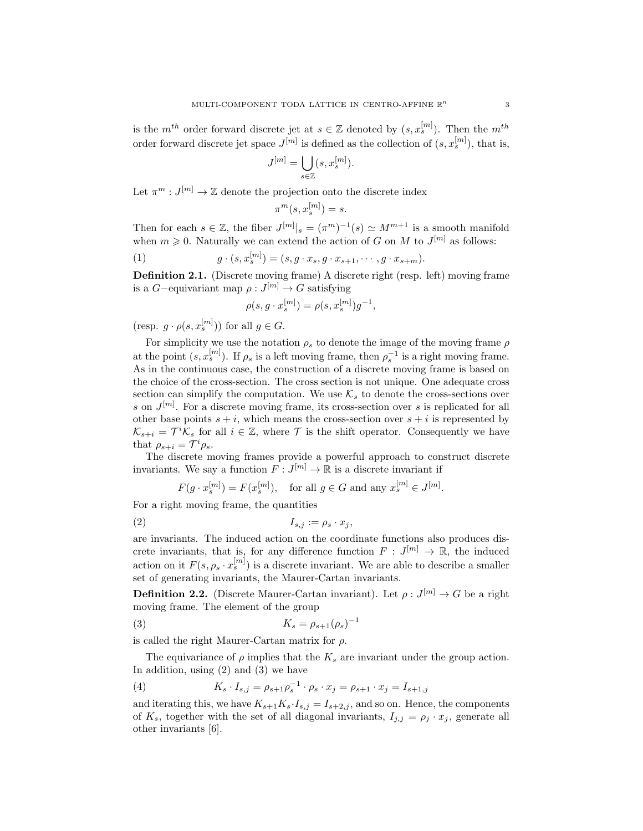is the  $m^{th}$  order forward discrete jet at  $s \in \mathbb{Z}$  denoted by  $(s, x_s^{[m]})$ . Then the  $m^{th}$ order forward discrete jet space  $J^{[m]}$  is defined as the collection of  $(s, x_s^{[m]})$ , that is,

$$
J^{[m]}=\bigcup_{s\in\mathbb{Z}}(s,x^{[m]}_s).
$$

Let  $\pi^m: J^{[m]} \to \mathbb{Z}$  denote the projection onto the discrete index

$$
\pi^m(s, x_s^{[m]}) = s.
$$

Then for each  $s \in \mathbb{Z}$ , the fiber  $J^{[m]}|_{s} = (\pi^{m})^{-1}(s) \simeq M^{m+1}$  is a smooth manifold when  $m \geq 0$ . Naturally we can extend the action of G on M to  $J^{[m]}$  as follows:

(1) 
$$
g \cdot (s, x_s^{[m]}) = (s, g \cdot x_s, g \cdot x_{s+1}, \cdots, g \cdot x_{s+m}).
$$

Definition 2.1. (Discrete moving frame) A discrete right (resp. left) moving frame is a  $G$ -equivariant map  $\rho: J^{[m]} \to G$  satisfying

$$
\rho(s, g \cdot x_s^{[m]}) = \rho(s, x_s^{[m]})g^{-1},
$$

(resp.  $g \cdot \rho(s, x_s^{[m]})$ ) for all  $g \in G$ .

For simplicity we use the notation  $\rho_s$  to denote the image of the moving frame  $\rho$ at the point  $(s, x_s^{[m]})$ . If  $\rho_s$  is a left moving frame, then  $\rho_s^{-1}$  is a right moving frame. As in the continuous case, the construction of a discrete moving frame is based on the choice of the cross-section. The cross section is not unique. One adequate cross section can simplify the computation. We use  $\mathcal{K}_s$  to denote the cross-sections over s on  $J^{[m]}$ . For a discrete moving frame, its cross-section over s is replicated for all other base points  $s + i$ , which means the cross-section over  $s + i$  is represented by  $\mathcal{K}_{s+i} = \mathcal{T}^i \mathcal{K}_s$  for all  $i \in \mathbb{Z}$ , where  $\mathcal T$  is the shift operator. Consequently we have that  $\rho_{s+i} = \mathcal{T}^i \rho_s$ .

The discrete moving frames provide a powerful approach to construct discrete invariants. We say a function  $F: J^{[m]} \to \mathbb{R}$  is a discrete invariant if

$$
F(g \cdot x_s^{[m]}) = F(x_s^{[m]}), \quad \text{for all } g \in G \text{ and any } x_s^{[m]} \in J^{[m]}.
$$

For a right moving frame, the quantities

$$
(2) \t I_{s,j} := \rho_s \cdot x_j,
$$

are invariants. The induced action on the coordinate functions also produces discrete invariants, that is, for any difference function  $F: J^{[m]} \to \mathbb{R}$ , the induced action on it  $F(s, \rho_s \cdot x_s^{[m]})$  is a discrete invariant. We are able to describe a smaller set of generating invariants, the Maurer-Cartan invariants.

**Definition 2.2.** (Discrete Maurer-Cartan invariant). Let  $\rho: J^{[m]} \to G$  be a right moving frame. The element of the group

$$
(3) \t\t K_s = \rho_{s+1}(\rho_s)^{-1}
$$

is called the right Maurer-Cartan matrix for  $\rho$ .

The equivariance of  $\rho$  implies that the  $K_s$  are invariant under the group action. In addition, using  $(2)$  and  $(3)$  we have

(4) 
$$
K_s \cdot I_{s,j} = \rho_{s+1} \rho_s^{-1} \cdot \rho_s \cdot x_j = \rho_{s+1} \cdot x_j = I_{s+1,j}
$$

and iterating this, we have  $K_{s+1}K_s\cdot I_{s,j}=I_{s+2,j}$ , and so on. Hence, the components of  $K_s$ , together with the set of all diagonal invariants,  $I_{j,j} = \rho_j \cdot x_j$ , generate all other invariants [6].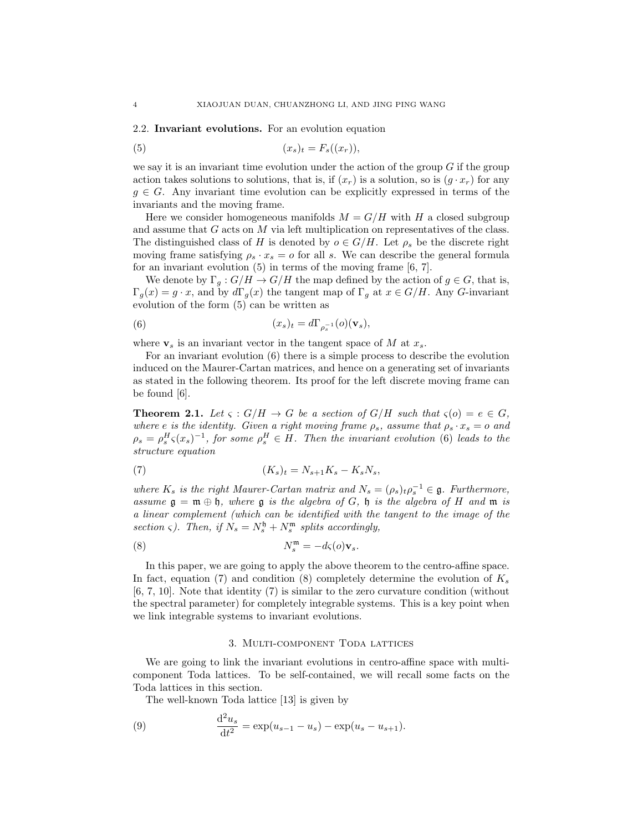#### 2.2. Invariant evolutions. For an evolution equation

$$
(5) \t\t\t (x_s)_t = F_s((x_r)),
$$

we say it is an invariant time evolution under the action of the group  $G$  if the group action takes solutions to solutions, that is, if  $(x_r)$  is a solution, so is  $(g \cdot x_r)$  for any  $g \in G$ . Any invariant time evolution can be explicitly expressed in terms of the invariants and the moving frame.

Here we consider homogeneous manifolds  $M = G/H$  with H a closed subgroup and assume that G acts on M via left multiplication on representatives of the class. The distinguished class of H is denoted by  $o \in G/H$ . Let  $\rho_s$  be the discrete right moving frame satisfying  $\rho_s \cdot x_s = o$  for all s. We can describe the general formula for an invariant evolution  $(5)$  in terms of the moving frame  $[6, 7]$ .

We denote by  $\Gamma_g: G/H \to G/H$  the map defined by the action of  $g \in G$ , that is,  $\Gamma_g(x) = g \cdot x$ , and by  $d\Gamma_g(x)$  the tangent map of  $\Gamma_g$  at  $x \in G/H$ . Any G-invariant evolution of the form (5) can be written as

(6) 
$$
(x_s)_t = d\Gamma_{\rho_s^{-1}}(o)(\mathbf{v}_s),
$$

where  $v_s$  is an invariant vector in the tangent space of M at  $x_s$ .

For an invariant evolution (6) there is a simple process to describe the evolution induced on the Maurer-Cartan matrices, and hence on a generating set of invariants as stated in the following theorem. Its proof for the left discrete moving frame can be found [6].

**Theorem 2.1.** Let  $\varsigma$  :  $G/H \to G$  be a section of  $G/H$  such that  $\varsigma(o) = e \in G$ , where e is the identity. Given a right moving frame  $\rho_s$ , assume that  $\rho_s \cdot x_s = o$  and  $\rho_s = \rho_s^H \varsigma(x_s)^{-1}$ , for some  $\rho_s^H \in H$ . Then the invariant evolution (6) leads to the structure equation

$$
(7) \qquad (K_s)_t = N_{s+1}K_s - K_sN_s,
$$

where  $K_s$  is the right Maurer-Cartan matrix and  $N_s = (\rho_s)_t \rho_s^{-1} \in \mathfrak{g}$ . Furthermore, assume  $\mathfrak{g} = \mathfrak{m} \oplus \mathfrak{h}$ , where  $\mathfrak{g}$  is the algebra of G,  $\mathfrak{h}$  is the algebra of H and  $\mathfrak{m}$  is a linear complement (which can be identified with the tangent to the image of the section  $\varsigma$ ). Then, if  $N_s = N_s^{\mathfrak{h}} + N_s^{\mathfrak{m}}$  splits accordingly,

(8) 
$$
N_s^{\mathfrak{m}} = -d\varsigma(o)\mathbf{v}_s.
$$

In this paper, we are going to apply the above theorem to the centro-affine space. In fact, equation (7) and condition (8) completely determine the evolution of  $K_s$ [6, 7, 10]. Note that identity (7) is similar to the zero curvature condition (without the spectral parameter) for completely integrable systems. This is a key point when we link integrable systems to invariant evolutions.

#### 3. Multi-component Toda lattices

We are going to link the invariant evolutions in centro-affine space with multicomponent Toda lattices. To be self-contained, we will recall some facts on the Toda lattices in this section.

The well-known Toda lattice [13] is given by

(9) 
$$
\frac{d^2 u_s}{dt^2} = \exp(u_{s-1} - u_s) - \exp(u_s - u_{s+1}).
$$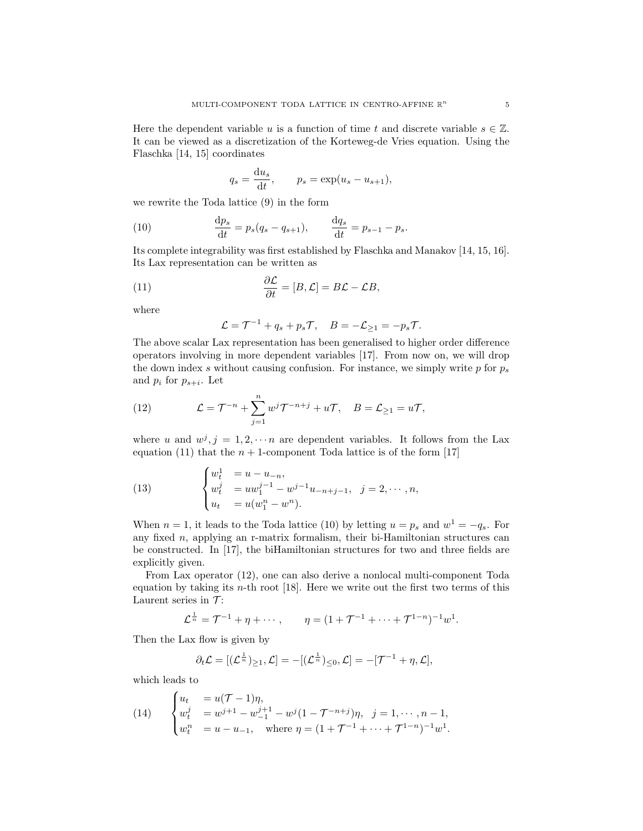Here the dependent variable u is a function of time t and discrete variable  $s \in \mathbb{Z}$ . It can be viewed as a discretization of the Korteweg-de Vries equation. Using the Flaschka [14, 15] coordinates

$$
q_s = \frac{\mathrm{d}u_s}{\mathrm{d}t}, \qquad p_s = \exp(u_s - u_{s+1}),
$$

we rewrite the Toda lattice (9) in the form

(10) 
$$
\frac{dp_s}{dt} = p_s(q_s - q_{s+1}), \qquad \frac{dq_s}{dt} = p_{s-1} - p_s.
$$

Its complete integrability was first established by Flaschka and Manakov [14, 15, 16]. Its Lax representation can be written as

(11) 
$$
\frac{\partial \mathcal{L}}{\partial t} = [B, \mathcal{L}] = B\mathcal{L} - \mathcal{L}B,
$$

where

$$
\mathcal{L} = \mathcal{T}^{-1} + q_s + p_s \mathcal{T}, \quad B = -\mathcal{L}_{\geq 1} = -p_s \mathcal{T}.
$$

The above scalar Lax representation has been generalised to higher order difference operators involving in more dependent variables [17]. From now on, we will drop the down index s without causing confusion. For instance, we simply write  $p$  for  $p_s$ and  $p_i$  for  $p_{s+i}$ . Let

(12) 
$$
\mathcal{L} = \mathcal{T}^{-n} + \sum_{j=1}^{n} w^j \mathcal{T}^{-n+j} + u\mathcal{T}, \quad B = \mathcal{L}_{\geq 1} = u\mathcal{T},
$$

where u and  $w^j$ ,  $j = 1, 2, \dots n$  are dependent variables. It follows from the Lax equation (11) that the  $n + 1$ -component Toda lattice is of the form [17]

(13) 
$$
\begin{cases} w_t^1 = u - u_{-n}, \\ w_t^j = uw_1^{j-1} - w^{j-1}u_{-n+j-1}, \\ u_t = u(w_1^n - w^n). \end{cases} \quad j = 2, \dots, n,
$$

When  $n = 1$ , it leads to the Toda lattice (10) by letting  $u = p_s$  and  $w^1 = -q_s$ . For any fixed n, applying an r-matrix formalism, their bi-Hamiltonian structures can be constructed. In [17], the biHamiltonian structures for two and three fields are explicitly given.

From Lax operator (12), one can also derive a nonlocal multi-component Toda equation by taking its  $n$ -th root [18]. Here we write out the first two terms of this Laurent series in  $\mathcal{T}$ :

$$
\mathcal{L}^{\frac{1}{n}} = \mathcal{T}^{-1} + \eta + \cdots
$$
,  $\eta = (1 + \mathcal{T}^{-1} + \cdots + \mathcal{T}^{1-n})^{-1}w^{1}$ .

Then the Lax flow is given by

$$
\partial_t \mathcal{L} = [(\mathcal{L}^{\frac{1}{n}})_{\geq 1}, \mathcal{L}] = -[(\mathcal{L}^{\frac{1}{n}})_{\leq 0}, \mathcal{L}] = -[\mathcal{T}^{-1} + \eta, \mathcal{L}],
$$

which leads to

(14) 
$$
\begin{cases} u_t &= u(\mathcal{T} - 1)\eta, \\ w_t^j &= w^{j+1} - w_{-1}^{j+1} - w^j(1 - \mathcal{T}^{-n+j})\eta, \quad j = 1, \dots, n-1, \\ w_t^n &= u - u_{-1}, \quad \text{where } \eta = (1 + \mathcal{T}^{-1} + \dots + \mathcal{T}^{1-n})^{-1}w^1. \end{cases}
$$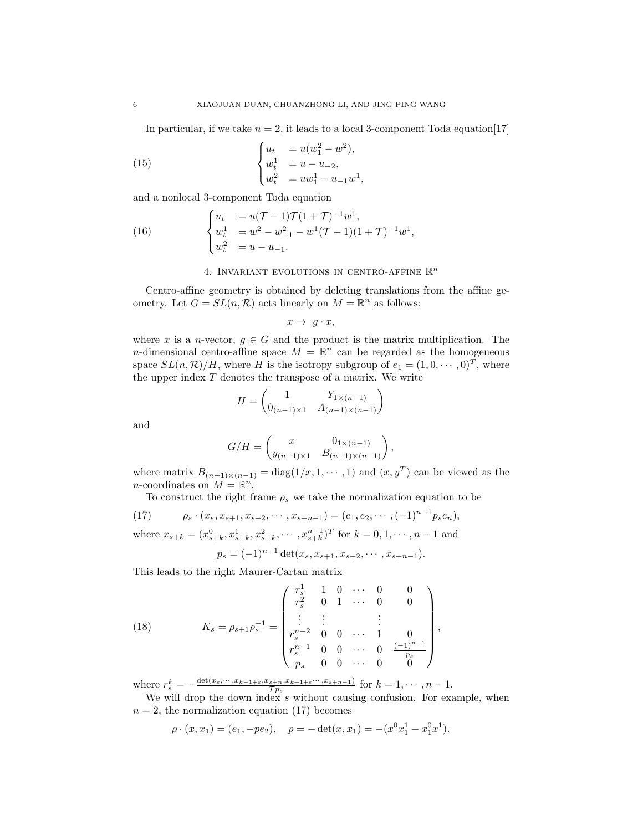In particular, if we take  $n = 2$ , it leads to a local 3-component Toda equation [17]

,

(15) 
$$
\begin{cases} u_t &= u(w_1^2 - w^2), \\ w_t^1 &= u - u_{-2}, \\ w_t^2 &= uw_1^1 - u_{-1}w^1 \end{cases}
$$

and a nonlocal 3-component Toda equation

(16) 
$$
\begin{cases} u_t &= u(\mathcal{T} - 1)\mathcal{T}(1 + \mathcal{T})^{-1}w^1, \\ w_t^1 &= w^2 - w_{-1}^2 - w^1(\mathcal{T} - 1)(1 + \mathcal{T})^{-1}w^1, \\ w_t^2 &= u - u_{-1}. \end{cases}
$$

#### 4. INVARIANT EVOLUTIONS IN CENTRO-AFFINE  $\mathbb{R}^n$

Centro-affine geometry is obtained by deleting translations from the affine geometry. Let  $G = SL(n, \mathcal{R})$  acts linearly on  $M = \mathbb{R}^n$  as follows:

 $x \rightarrow g \cdot x$ ,

where x is a n-vector,  $g \in G$  and the product is the matrix multiplication. The *n*-dimensional centro-affine space  $M = \mathbb{R}^n$  can be regarded as the homogeneous space  $SL(n,\mathcal{R})/H$ , where H is the isotropy subgroup of  $e_1 = (1,0,\dots,0)^T$ , where the upper index  $T$  denotes the transpose of a matrix. We write

$$
H = \begin{pmatrix} 1 & Y_{1 \times (n-1)} \\ 0_{(n-1) \times 1} & A_{(n-1) \times (n-1)} \end{pmatrix}
$$

and

$$
G/H = \begin{pmatrix} x & 0_{1 \times (n-1)} \\ y_{(n-1) \times 1} & B_{(n-1) \times (n-1)} \end{pmatrix},
$$

where matrix  $B_{(n-1)\times(n-1)} = \text{diag}(1/x, 1, \dots, 1)$  and  $(x, y^T)$  can be viewed as the *n*-coordinates on  $M = \mathbb{R}^n$ .

To construct the right frame  $\rho_s$  we take the normalization equation to be

(17) 
$$
\rho_s \cdot (x_s, x_{s+1}, x_{s+2}, \cdots, x_{s+n-1}) = (e_1, e_2, \cdots, (-1)^{n-1} p_s e_n),
$$
  
where  $x_{s+k} = (x_{s+k}^0, x_{s+k}^1, x_{s+k}^2, \cdots, x_{s+k}^{n-1})^T$  for  $k = 0, 1, \cdots, n-1$  and  
 $p_s = (-1)^{n-1} \det(x_s, x_{s+1}, x_{s+2}, \cdots, x_{s+n-1}).$ 

This leads to the right Maurer-Cartan matrix

(18) 
$$
K_s = \rho_{s+1} \rho_s^{-1} = \begin{pmatrix} r_s^1 & 1 & 0 & \cdots & 0 & 0 \\ r_s^2 & 0 & 1 & \cdots & 0 & 0 \\ \vdots & \vdots & & \vdots & & \vdots \\ r_s^{n-2} & 0 & 0 & \cdots & 1 & 0 \\ r_s^{n-1} & 0 & 0 & \cdots & 0 & \frac{(-1)^{n-1}}{p_s} \\ p_s & 0 & 0 & \cdots & 0 & 0 \end{pmatrix}
$$

where  $r_s^k = -\frac{\det(x_s, \dots, x_{k-1+s}, x_{s+n}, x_{k+1+s}, \dots, x_{s+n-1})}{\tau_{p_s}}$  $\tau_{\tau_{ps}}^{(s+n, x_{k+1+s} \cdots, x_{s+n-1})}$  for  $k=1,\cdots,n-1$ .

We will drop the down index  $s$  without causing confusion. For example, when  $n = 2$ , the normalization equation (17) becomes

,

$$
\rho \cdot (x, x_1) = (e_1, -pe_2), \quad p = -\det(x, x_1) = -(x^0 x_1^1 - x_1^0 x_1^1).
$$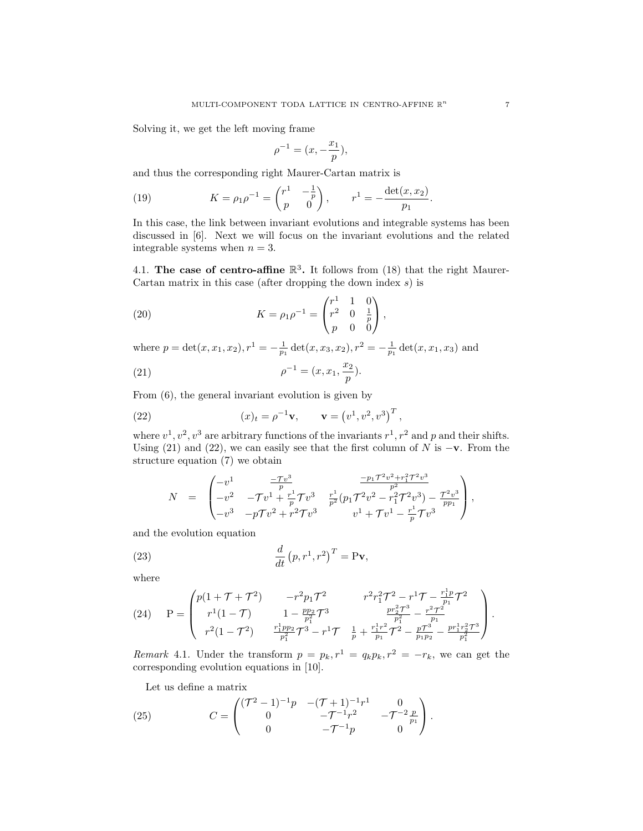Solving it, we get the left moving frame

$$
\rho^{-1} = (x, -\frac{x_1}{p}),
$$

and thus the corresponding right Maurer-Cartan matrix is

(19) 
$$
K = \rho_1 \rho^{-1} = \begin{pmatrix} r^1 & -\frac{1}{p} \\ p & 0 \end{pmatrix}, \qquad r^1 = -\frac{\det(x, x_2)}{p_1}.
$$

In this case, the link between invariant evolutions and integrable systems has been discussed in [6]. Next we will focus on the invariant evolutions and the related integrable systems when  $n = 3$ .

4.1. The case of centro-affine  $\mathbb{R}^3$ . It follows from (18) that the right Maurer-Cartan matrix in this case (after dropping the down index  $s$ ) is

(20) 
$$
K = \rho_1 \rho^{-1} = \begin{pmatrix} r^1 & 1 & 0 \\ r^2 & 0 & \frac{1}{p} \\ p & 0 & 0 \end{pmatrix},
$$

where  $p = \det(x, x_1, x_2), r^1 = -\frac{1}{p_1} \det(x, x_3, x_2), r^2 = -\frac{1}{p_1} \det(x, x_1, x_3)$  and

(21) 
$$
\rho^{-1} = (x, x_1, \frac{x_2}{p}).
$$

From (6), the general invariant evolution is given by

(22) 
$$
(x)_t = \rho^{-1} \mathbf{v}, \qquad \mathbf{v} = (v^1, v^2, v^3)^T,
$$

where  $v^1$ ,  $v^2$ ,  $v^3$  are arbitrary functions of the invariants  $r^1$ ,  $r^2$  and p and their shifts. Using (21) and (22), we can easily see that the first column of N is  $-\mathbf{v}$ . From the structure equation (7) we obtain

$$
N = \begin{pmatrix} -v^1 & \frac{-\mathcal{T}v^3}{p} & \frac{-p_1\mathcal{T}^2v^2+r_1^2\mathcal{T}^2v^3}{p^2} \\ -v^2 & -\mathcal{T}v^1+\frac{r^1}{p}\mathcal{T}v^3 & \frac{r^1}{p^2}(p_1\mathcal{T}^2v^2-r_1^2\mathcal{T}^2v^3) - \frac{\mathcal{T}^2v^3}{pp_1} \\ -v^3 & -p\mathcal{T}v^2+r^2\mathcal{T}v^3 & v^1+\mathcal{T}v^1-\frac{r^1}{p}\mathcal{T}v^3 \end{pmatrix},
$$

and the evolution equation

(23) 
$$
\frac{d}{dt} (p, r^1, r^2)^T = \mathbf{P} \mathbf{v},
$$

where

(24) 
$$
P = \begin{pmatrix} p(1+\mathcal{T}+\mathcal{T}^2) & -r^2 p_1 \mathcal{T}^2 & r^2 r_1^2 \mathcal{T}^2 - r^1 \mathcal{T} - \frac{r_1^1 p}{p_1} \mathcal{T}^2 \\ r^1 (1-\mathcal{T}) & 1 - \frac{p p_2}{p_1^2} \mathcal{T}^3 & \frac{p r_2^2 \mathcal{T}^3}{p_1^2} - \frac{r^2 \mathcal{T}^2}{p_1} \\ r^2 (1-\mathcal{T}^2) & \frac{r_1^1 p p_2}{p_1^2} \mathcal{T}^3 - r^1 \mathcal{T} & \frac{1}{p} + \frac{r_1^1 r^2}{p_1} \mathcal{T}^2 - \frac{p \mathcal{T}^3}{p_1 p_2} - \frac{p r_1^1 r_2^2 \mathcal{T}^3}{p_1^2} \end{pmatrix}.
$$

Remark 4.1. Under the transform  $p = p_k, r^1 = q_k p_k, r^2 = -r_k$ , we can get the corresponding evolution equations in [10].

Let us define a matrix

(25) 
$$
C = \begin{pmatrix} (\mathcal{T}^2 - 1)^{-1} p & -(\mathcal{T} + 1)^{-1} r^1 & 0 \\ 0 & -\mathcal{T}^{-1} r^2 & -\mathcal{T}^{-2} \frac{p}{p_1} \\ 0 & -\mathcal{T}^{-1} p & 0 \end{pmatrix}.
$$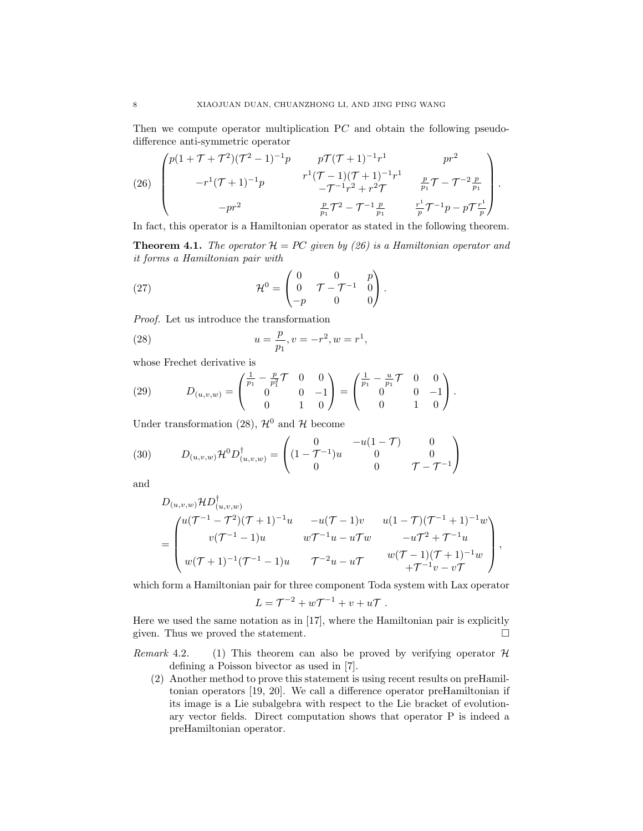Then we compute operator multiplication PC and obtain the following pseudodifference anti-symmetric operator

(26) 
$$
\begin{pmatrix} p(1+\mathcal{T}+\mathcal{T}^2)(\mathcal{T}^2-1)^{-1}p & p\mathcal{T}(\mathcal{T}+1)^{-1}r^1 & pr^2 \\ -r^1(\mathcal{T}+1)^{-1}p & r^1(\mathcal{T}-1)(\mathcal{T}+1)^{-1}r^1 & \frac{p}{p_1}\mathcal{T}-\mathcal{T}^{-2}\frac{p}{p_1} \\ -pr^2 & \frac{p}{p_1}\mathcal{T}^2-\mathcal{T}^{-1}\frac{p}{p_1} & \frac{r^1}{p}\mathcal{T}^{-1}p-p\mathcal{T}\frac{r^1}{p}\end{pmatrix}.
$$

In fact, this operator is a Hamiltonian operator as stated in the following theorem.

**Theorem 4.1.** The operator  $\mathcal{H} = PC$  given by (26) is a Hamiltonian operator and it forms a Hamiltonian pair with

(27) 
$$
\mathcal{H}^{0} = \begin{pmatrix} 0 & 0 & p \\ 0 & \mathcal{T} - \mathcal{T}^{-1} & 0 \\ -p & 0 & 0 \end{pmatrix}.
$$

Proof. Let us introduce the transformation

(28) 
$$
u = \frac{p}{p_1}, v = -r^2, w = r^1,
$$

whose Frechet derivative is

(29) 
$$
D_{(u,v,w)} = \begin{pmatrix} \frac{1}{p_1} - \frac{p}{p_1^2} \mathcal{T} & 0 & 0 \\ 0 & 0 & -1 \\ 0 & 1 & 0 \end{pmatrix} = \begin{pmatrix} \frac{1}{p_1} - \frac{u}{p_1} \mathcal{T} & 0 & 0 \\ 0 & 0 & -1 \\ 0 & 1 & 0 \end{pmatrix}.
$$

Under transformation (28),  $\mathcal{H}^0$  and H become

(30) 
$$
D_{(u,v,w)}\mathcal{H}^0 D_{(u,v,w)}^{\dagger} = \begin{pmatrix} 0 & -u(1-\mathcal{T}) & 0 \\ (1-\mathcal{T}^{-1})u & 0 & 0 \\ 0 & 0 & \mathcal{T}-\mathcal{T}^{-1} \end{pmatrix}
$$

and

$$
D_{(u,v,w)}\mathcal{H}D^{\dagger}_{(u,v,w)} = \begin{pmatrix} u(\mathcal{T}^{-1} - \mathcal{T}^2)(\mathcal{T} + 1)^{-1}u & -u(\mathcal{T} - 1)v & u(1 - \mathcal{T})(\mathcal{T}^{-1} + 1)^{-1}w \\ v(\mathcal{T}^{-1} - 1)u & w\mathcal{T}^{-1}u - u\mathcal{T}w & -u\mathcal{T}^2 + \mathcal{T}^{-1}u \\ w(\mathcal{T} + 1)^{-1}(\mathcal{T}^{-1} - 1)u & \mathcal{T}^{-2}u - u\mathcal{T} & w(\mathcal{T} - 1)(\mathcal{T} + 1)^{-1}w \\ +\mathcal{T}^{-1}v - v\mathcal{T} & \end{pmatrix},
$$

which form a Hamiltonian pair for three component Toda system with Lax operator

$$
L = \mathcal{T}^{-2} + w\mathcal{T}^{-1} + v + u\mathcal{T} .
$$

Here we used the same notation as in [17], where the Hamiltonian pair is explicitly given. Thus we proved the statement.  $\square$ 

- Remark 4.2. (1) This theorem can also be proved by verifying operator  $\mathcal H$ defining a Poisson bivector as used in [7].
	- (2) Another method to prove this statement is using recent results on preHamiltonian operators [19, 20]. We call a difference operator preHamiltonian if its image is a Lie subalgebra with respect to the Lie bracket of evolutionary vector fields. Direct computation shows that operator P is indeed a preHamiltonian operator.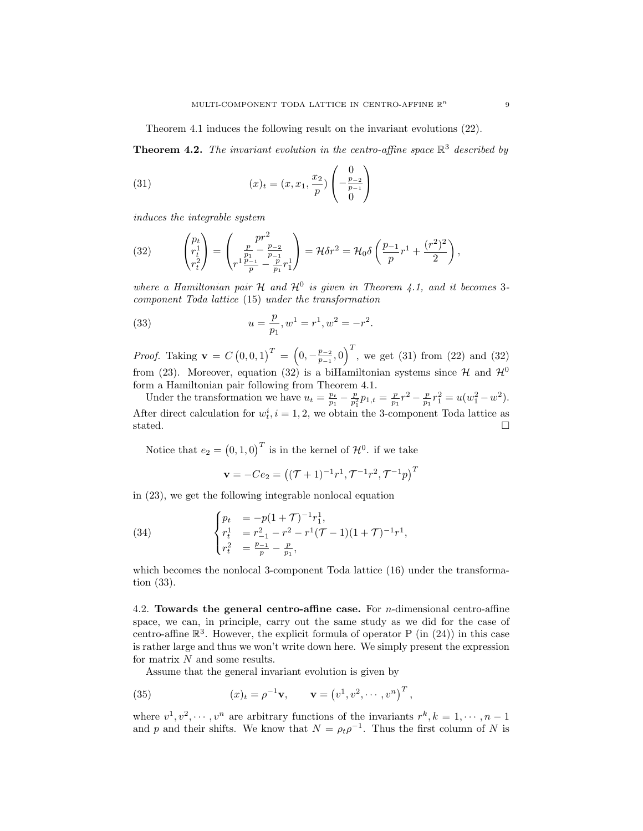Theorem 4.1 induces the following result on the invariant evolutions (22).

**Theorem 4.2.** The invariant evolution in the centro-affine space  $\mathbb{R}^3$  described by

(31) 
$$
(x)_t = (x, x_1, \frac{x_2}{p}) \begin{pmatrix} 0 \\ -\frac{p-2}{p-1} \\ 0 \end{pmatrix}
$$

induces the integrable system

(32) 
$$
\begin{pmatrix} p_t \\ r_t^1 \\ r_t^2 \end{pmatrix} = \begin{pmatrix} pr^2 \\ \frac{p}{p_1} - \frac{p_{-2}}{p_{-1}} \\ r^1 \frac{p_{-1}}{p} - \frac{p}{p_1} r_1^1 \end{pmatrix} = \mathcal{H} \delta r^2 = \mathcal{H}_0 \delta \left( \frac{p_{-1}}{p} r^1 + \frac{(r^2)^2}{2} \right),
$$

where a Hamiltonian pair H and  $\mathcal{H}^0$  is given in Theorem 4.1, and it becomes 3component Toda lattice (15) under the transformation

(33) 
$$
u = \frac{p}{p_1}, w^1 = r^1, w^2 = -r^2.
$$

*Proof.* Taking  $\mathbf{v} = C(0,0,1)^T = (0,-\frac{p-2}{p-1})$  $\left(\frac{p_{-2}}{p_{-1}},0\right)^T$ , we get (31) from (22) and (32) from (23). Moreover, equation (32) is a biHamiltonian systems since  $\mathcal{H}$  and  $\mathcal{H}^0$ form a Hamiltonian pair following from Theorem 4.1.

Under the transformation we have  $u_t = \frac{p_t}{p_1} - \frac{p_t}{p_1^2}$  $\frac{p}{p_1^2}p_{1,t} = \frac{p}{p_1}r^2 - \frac{p}{p_1}r_1^2 = u(w_1^2 - w^2).$ After direct calculation for  $w_t^i$ ,  $i = 1, 2$ , we obtain the 3-component Toda lattice as stated.  $\Box$ 

Notice that  $e_2 = (0, 1, 0)^T$  is in the kernel of  $\mathcal{H}^0$ . if we take

$$
\mathbf{v} = -Ce_2 = ((\mathcal{T} + 1)^{-1}r^1, \mathcal{T}^{-1}r^2, \mathcal{T}^{-1}p)^T
$$

in (23), we get the following integrable nonlocal equation

(34) 
$$
\begin{cases} p_t &= -p(1+\mathcal{T})^{-1}r_1^1, \\ r_t^1 &= r_{-1}^2 - r^2 - r^1(\mathcal{T}-1)(1+\mathcal{T})^{-1}r^1, \\ r_t^2 &= \frac{p-1}{p} - \frac{p}{p_1}, \end{cases}
$$

which becomes the nonlocal 3-component Toda lattice (16) under the transformation (33).

4.2. Towards the general centro-affine case. For *n*-dimensional centro-affine space, we can, in principle, carry out the same study as we did for the case of centro-affine  $\mathbb{R}^3$ . However, the explicit formula of operator P (in (24)) in this case is rather large and thus we won't write down here. We simply present the expression for matrix  $N$  and some results.

Assume that the general invariant evolution is given by

(35) 
$$
(x)_t = \rho^{-1} \mathbf{v}, \qquad \mathbf{v} = (v^1, v^2, \cdots, v^n)^T,
$$

where  $v^1, v^2, \dots, v^n$  are arbitrary functions of the invariants  $r^k, k = 1, \dots, n-1$ and p and their shifts. We know that  $N = \rho_t \rho^{-1}$ . Thus the first column of N is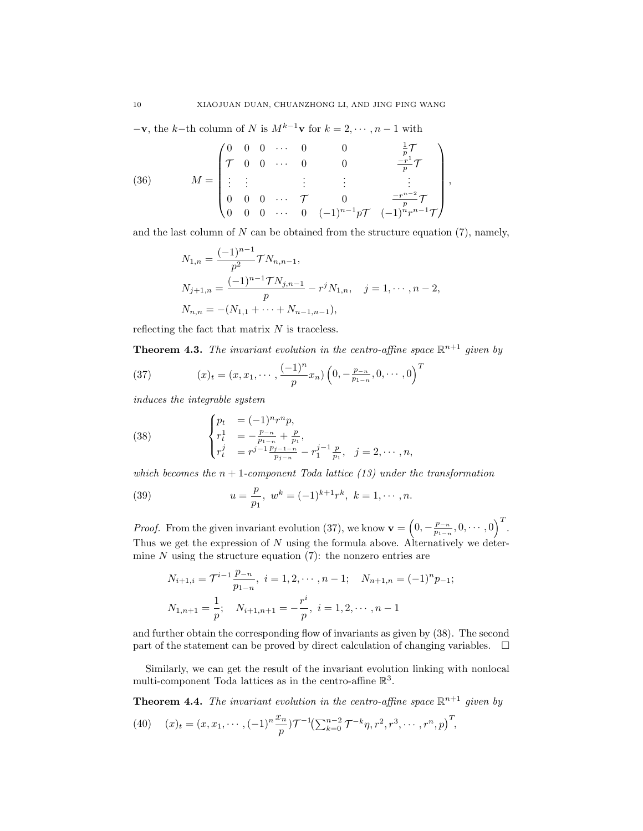$-\mathbf{v}$ , the k–th column of N is  $M^{k-1}\mathbf{v}$  for  $k = 2, \dots, n-1$  with

(36) 
$$
M = \begin{pmatrix} 0 & 0 & 0 & \cdots & 0 & 0 & \frac{1}{p}\mathcal{T} \\ \mathcal{T} & 0 & 0 & \cdots & 0 & 0 & \frac{-r^1}{p}\mathcal{T} \\ \vdots & \vdots & & \vdots & & \vdots & & \vdots \\ 0 & 0 & 0 & \cdots & \mathcal{T} & 0 & \frac{-r^{n-2}}{p}\mathcal{T} \\ 0 & 0 & 0 & \cdots & 0 & (-1)^{n-1}p\mathcal{T} & (-1)^n r^{n-1}\mathcal{T} \end{pmatrix},
$$

and the last column of  $N$  can be obtained from the structure equation  $(7)$ , namely,

$$
N_{1,n} = \frac{(-1)^{n-1}}{p^2} \mathcal{T} N_{n,n-1},
$$
  
\n
$$
N_{j+1,n} = \frac{(-1)^{n-1} \mathcal{T} N_{j,n-1}}{p} - r^j N_{1,n}, \quad j = 1, \cdots, n-2,
$$
  
\n
$$
N_{n,n} = -(N_{1,1} + \cdots + N_{n-1,n-1}),
$$

reflecting the fact that matrix  $N$  is traceless.

**Theorem 4.3.** The invariant evolution in the centro-affine space  $\mathbb{R}^{n+1}$  given by

(37) 
$$
(x)_t = (x, x_1, \cdots, \frac{(-1)^n}{p} x_n) \left(0, -\frac{p_{-n}}{p_{1-n}}, 0, \cdots, 0\right)^T
$$

induces the integrable system

(38) 
$$
\begin{cases} p_t &= (-1)^n r^n p, \\ r_t^1 &= -\frac{p_{-n}}{p_{1-n}} + \frac{p}{p_1}, \\ r_t^j &= r^{j-1} \frac{p_{j-1-n}}{p_{j-n}} - r_1^{j-1} \frac{p}{p_1}, \quad j = 2, \cdots, n, \end{cases}
$$

which becomes the  $n + 1$ -component Toda lattice (13) under the transformation

(39) 
$$
u = \frac{p}{p_1}, \ w^k = (-1)^{k+1} r^k, \ k = 1, \cdots, n.
$$

*Proof.* From the given invariant evolution (37), we know  $\mathbf{v} = \left(0, -\frac{p-n}{n_1}\right)$  $\frac{p_{-n}}{p_{1-n}}, 0, \cdots, 0)$ <sup>T</sup>. Thus we get the expression of N using the formula above. Alternatively we determine  $N$  using the structure equation (7): the nonzero entries are

$$
N_{i+1,i} = \mathcal{T}^{i-1} \frac{p_{-n}}{p_{1-n}}, \ i = 1, 2, \cdots, n-1; \quad N_{n+1,n} = (-1)^n p_{-1};
$$
  

$$
N_{1,n+1} = \frac{1}{p}; \quad N_{i+1,n+1} = -\frac{r^i}{p}, \ i = 1, 2, \cdots, n-1
$$

and further obtain the corresponding flow of invariants as given by (38). The second part of the statement can be proved by direct calculation of changing variables.  $\Box$ 

Similarly, we can get the result of the invariant evolution linking with nonlocal multi-component Toda lattices as in the centro-affine  $\mathbb{R}^3$ .

**Theorem 4.4.** The invariant evolution in the centro-affine space  $\mathbb{R}^{n+1}$  given by

(40) 
$$
(x)_t = (x, x_1, \cdots, (-1)^n \frac{x_n}{p}) \mathcal{T}^{-1} \left( \sum_{k=0}^{n-2} \mathcal{T}^{-k} \eta, r^2, r^3, \cdots, r^n, p \right)^T,
$$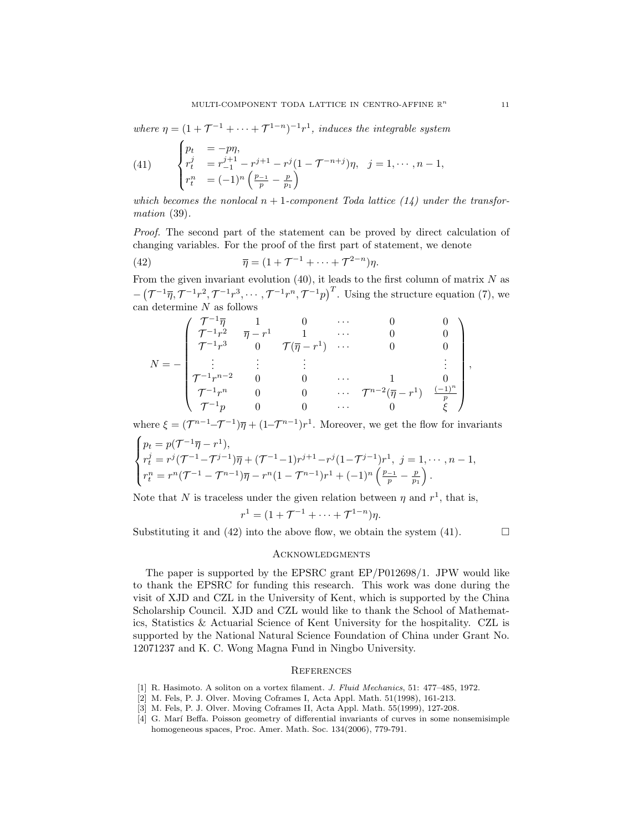where  $\eta = (1 + \mathcal{T}^{-1} + \cdots + \mathcal{T}^{1-n})^{-1}r^1$ , induces the integrable system

(41) 
$$
\begin{cases} p_t &= -p\eta, \\ r_t^j &= r_{-1}^{j+1} - r^{j+1} - r^j(1 - \mathcal{T}^{-n+j})\eta, \\ r_t^n &= (-1)^n \left(\frac{p_{-1}}{p} - \frac{p}{p_1}\right) \end{cases} \quad j = 1, \cdots, n-1,
$$

which becomes the nonlocal  $n + 1$ -component Toda lattice (14) under the transformation (39).

Proof. The second part of the statement can be proved by direct calculation of changing variables. For the proof of the first part of statement, we denote

(42) 
$$
\overline{\eta} = (1 + \mathcal{T}^{-1} + \dots + \mathcal{T}^{2-n})\eta.
$$

From the given invariant evolution  $(40)$ , it leads to the first column of matrix N as  $-(\mathcal{T}^{-1}\overline{\eta}, \mathcal{T}^{-1}r^2, \mathcal{T}^{-1}r^3, \cdots, \mathcal{T}^{-1}r^n, \mathcal{T}^{-1}p)^T$ . Using the structure equation (7), we can determine  $N$  as follows

$$
N = -\begin{pmatrix} \mathcal{T}^{-1}\overline{\eta} & 1 & 0 & \cdots & 0 & 0\\ \mathcal{T}^{-1}r^2 & \overline{\eta} - r^1 & 1 & \cdots & 0 & 0\\ \mathcal{T}^{-1}r^3 & 0 & \mathcal{T}(\overline{\eta} - r^1) & \cdots & 0 & 0\\ \vdots & \vdots & \vdots & & \vdots & \vdots\\ \mathcal{T}^{-1}r^{n-2} & 0 & 0 & \cdots & 1 & 0\\ \mathcal{T}^{-1}r^n & 0 & 0 & \cdots & \mathcal{T}^{n-2}(\overline{\eta} - r^1) & \frac{(-1)^n}{p}\\ \mathcal{T}^{-1}p & 0 & 0 & \cdots & 0 & \xi \end{pmatrix}
$$

where  $\xi = (\mathcal{T}^{n-1} - \mathcal{T}^{-1})\overline{\eta} + (1 - \mathcal{T}^{n-1})r^1$ . Moreover, we get the flow for invariants

$$
\begin{cases}\np_t = p(\mathcal{T}^{-1}\overline{\eta} - r^1), \\
r_t^j = r^j(\mathcal{T}^{-1} - \mathcal{T}^{j-1})\overline{\eta} + (\mathcal{T}^{-1} - 1)r^{j+1} - r^j(1 - \mathcal{T}^{j-1})r^1, \ j = 1, \cdots, n-1, \\
r_t^n = r^n(\mathcal{T}^{-1} - \mathcal{T}^{n-1})\overline{\eta} - r^n(1 - \mathcal{T}^{n-1})r^1 + (-1)^n\left(\frac{p-1}{p} - \frac{p}{p_1}\right).\n\end{cases}
$$

Note that N is traceless under the given relation between  $\eta$  and  $r^1$ , that is,

$$
r^{1} = (1 + \mathcal{T}^{-1} + \dots + \mathcal{T}^{1-n})\eta.
$$

Substituting it and (42) into the above flow, we obtain the system (41).  $\Box$ 

,

#### **ACKNOWLEDGMENTS**

The paper is supported by the EPSRC grant EP/P012698/1. JPW would like to thank the EPSRC for funding this research. This work was done during the visit of XJD and CZL in the University of Kent, which is supported by the China Scholarship Council. XJD and CZL would like to thank the School of Mathematics, Statistics & Actuarial Science of Kent University for the hospitality. CZL is supported by the National Natural Science Foundation of China under Grant No. 12071237 and K. C. Wong Magna Fund in Ningbo University.

#### **REFERENCES**

- [1] R. Hasimoto. A soliton on a vortex filament. J. Fluid Mechanics, 51: 477–485, 1972.
- [2] M. Fels, P. J. Olver. Moving Coframes I, Acta Appl. Math. 51(1998), 161-213.
- [3] M. Fels, P. J. Olver. Moving Coframes II, Acta Appl. Math. 55(1999), 127-208.
- [4] G. Mar´ı Beffa. Poisson geometry of differential invariants of curves in some nonsemisimple homogeneous spaces, Proc. Amer. Math. Soc. 134(2006), 779-791.